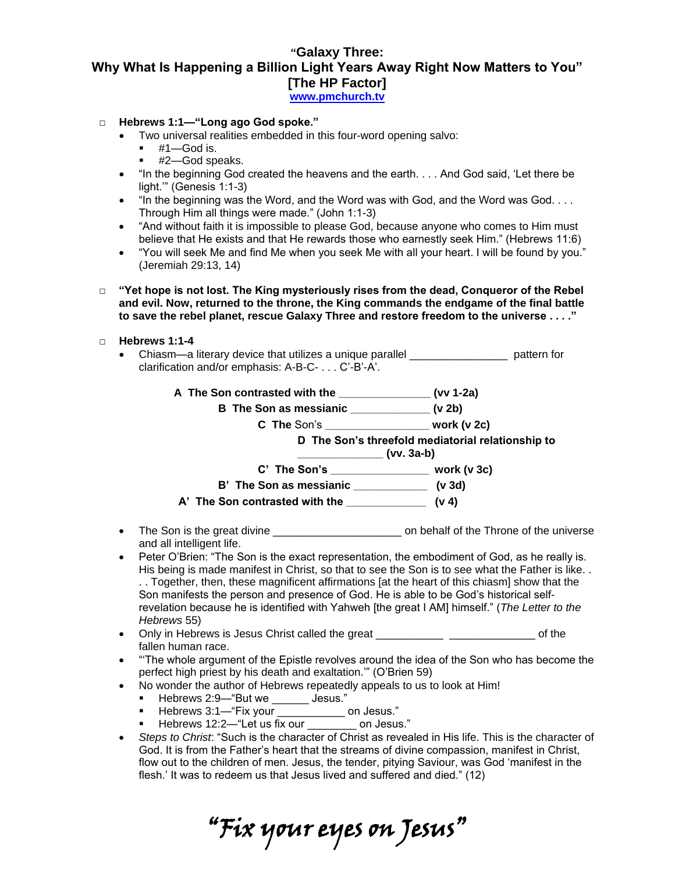## **"Galaxy Three: Why What Is Happening a Billion Light Years Away Right Now Matters to You" [The HP Factor]**

**[www.pmchurch.tv](http://www.pmchurch.tv/)** 

- □ **Hebrews 1:1—"Long ago God spoke."**
	- Two universal realities embedded in this four-word opening salvo:
		- $+ 41 -$ God is.
		- #2—God speaks.
	- "In the beginning God created the heavens and the earth. . . . And God said, 'Let there be light.'" (Genesis 1:1-3)
	- $\bullet$  "In the beginning was the Word, and the Word was with God, and the Word was God.... Through Him all things were made." (John 1:1-3)
	- "And without faith it is impossible to please God, because anyone who comes to Him must believe that He exists and that He rewards those who earnestly seek Him." (Hebrews 11:6)
	- "You will seek Me and find Me when you seek Me with all your heart. I will be found by you." (Jeremiah 29:13, 14)
- □ **"Yet hope is not lost. The King mysteriously rises from the dead, Conqueror of the Rebel and evil. Now, returned to the throne, the King commands the endgame of the final battle to save the rebel planet, rescue Galaxy Three and restore freedom to the universe . . . ."**
- □ **Hebrews 1:1-4**
	- Chiasm—a literary device that utilizes a unique parallel \_\_\_\_\_\_\_\_\_\_\_\_\_\_\_\_ pattern for clarification and/or emphasis: A-B-C- . . . C'-B'-A'.

|                                                | D The Son's threefold mediatorial relationship to<br>$(vv. 3a-b)$ |
|------------------------------------------------|-------------------------------------------------------------------|
|                                                |                                                                   |
| B' The Son as messianic _______________ (v 3d) |                                                                   |
|                                                |                                                                   |
| • The Son is the great divine ________________ | on behalf of the Throne of the universe                           |

- and all intelligent life.
- Peter O'Brien: "The Son is the exact representation, the embodiment of God, as he really is. His being is made manifest in Christ, so that to see the Son is to see what the Father is like. . . . Together, then, these magnificent affirmations [at the heart of this chiasm] show that the Son manifests the person and presence of God. He is able to be God's historical selfrevelation because he is identified with Yahweh [the great I AM] himself." (*The Letter to the Hebrews* 55)
- Only in Hebrews is Jesus Christ called the great \_\_\_\_\_\_\_\_\_\_\_ \_\_\_\_\_\_\_\_\_\_\_\_\_\_ of the fallen human race.
- "'The whole argument of the Epistle revolves around the idea of the Son who has become the perfect high priest by his death and exaltation.'" (O'Brien 59)
- No wonder the author of Hebrews repeatedly appeals to us to look at Him!
	- Hebrews 2:9—"But we \_\_\_\_\_\_\_ Jesus."
	- Hebrews 3:1—"Fix your on Jesus."
	- Hebrews 12:2—"Let us fix our on Jesus."
- *Steps to Christ*: "Such is the character of Christ as revealed in His life. This is the character of God. It is from the Father's heart that the streams of divine compassion, manifest in Christ, flow out to the children of men. Jesus, the tender, pitying Saviour, was God 'manifest in the flesh.' It was to redeem us that Jesus lived and suffered and died." (12)

"Fix your eyes on Jesus"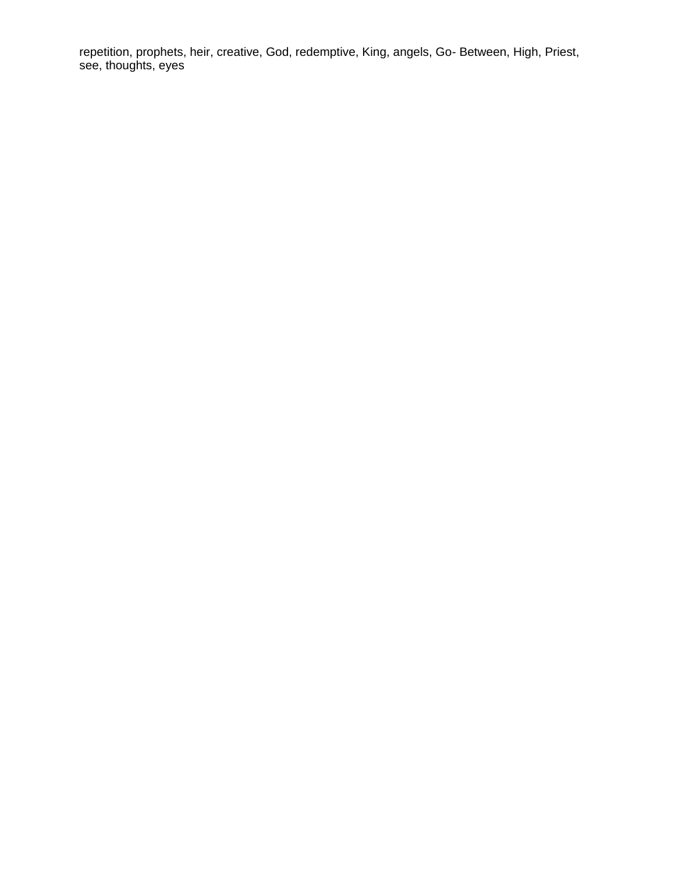repetition, prophets, heir, creative, God, redemptive, King, angels, Go- Between, High, Priest, see, thoughts, eyes